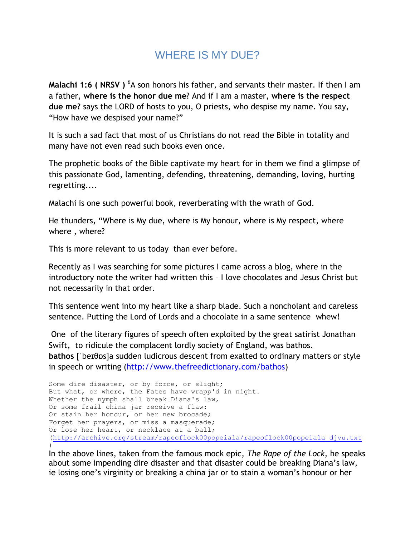## WHERE IS MY DUE?

**Malachi 1:6 ( NRSV )** <sup>6</sup>A son honors his father, and servants their master. If then I am a father, **where is the honor due me**? And if I am a master, **where is the respect due me?** says the LORD of hosts to you, O priests, who despise my name. You say, "How have we despised your name?"

It is such a sad fact that most of us Christians do not read the Bible in totality and many have not even read such books even once.

The prophetic books of the Bible captivate my heart for in them we find a glimpse of this passionate God, lamenting, defending, threatening, demanding, loving, hurting regretting....

Malachi is one such powerful book, reverberating with the wrath of God.

He thunders, "Where is My due, where is My honour, where is My respect, where where , where?

This is more relevant to us today than ever before.

Recently as I was searching for some pictures I came across a blog, where in the introductory note the writer had written this – I love chocolates and Jesus Christ but not necessarily in that order.

This sentence went into my heart like a sharp blade. Such a noncholant and careless sentence. Putting the Lord of Lords and a chocolate in a same sentence whew!

One of the literary figures of speech often exploited by the great satirist Jonathan Swift, to ridicule the complacent lordly society of England, was bathos. **bathos** [ˈbeɪθɒs]a sudden ludicrous descent from exalted to ordinary matters or style in speech or writing [\(http://www.thefreedictionary.com/bathos\)](http://www.thefreedictionary.com/bathos)

Some dire disaster, or by force, or slight; But what, or where, the Fates have wrapp'd in night. Whether the nymph shall break Diana's law, Or some frail china jar receive a flaw: Or stain her honour, or her new brocade; Forget her prayers, or miss a masquerade; Or lose her heart, or necklace at a ball; [\(http://archive.org/stream/rapeoflock00popeiala/rapeoflock00popeiala\\_djvu.txt](http://archive.org/stream/rapeoflock00popeiala/rapeoflock00popeiala_djvu.txt) )

In the above lines, taken from the famous mock epic, *The Rape of the Lock,* he speaks about some impending dire disaster and that disaster could be breaking Diana's law, ie losing one's virginity or breaking a china jar or to stain a woman's honour or her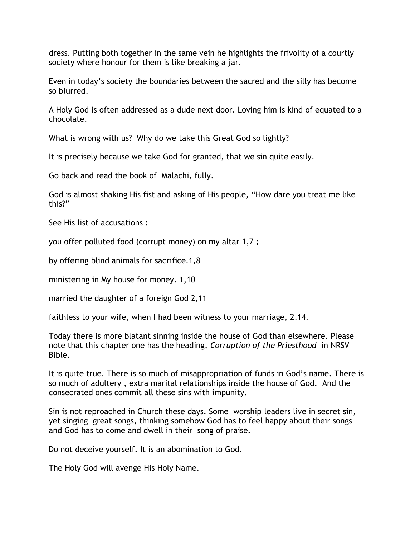dress. Putting both together in the same vein he highlights the frivolity of a courtly society where honour for them is like breaking a jar.

Even in today's society the boundaries between the sacred and the silly has become so blurred.

A Holy God is often addressed as a dude next door. Loving him is kind of equated to a chocolate.

What is wrong with us? Why do we take this Great God so lightly?

It is precisely because we take God for granted, that we sin quite easily.

Go back and read the book of Malachi, fully.

God is almost shaking His fist and asking of His people, "How dare you treat me like this?"

See His list of accusations :

you offer polluted food (corrupt money) on my altar 1,7 ;

by offering blind animals for sacrifice.1,8

ministering in My house for money. 1,10

married the daughter of a foreign God 2,11

faithless to your wife, when I had been witness to your marriage, 2,14.

Today there is more blatant sinning inside the house of God than elsewhere. Please note that this chapter one has the heading, *Corruption of the Priesthood* in NRSV Bible.

It is quite true. There is so much of misappropriation of funds in God's name. There is so much of adultery , extra marital relationships inside the house of God. And the consecrated ones commit all these sins with impunity.

Sin is not reproached in Church these days. Some worship leaders live in secret sin, yet singing great songs, thinking somehow God has to feel happy about their songs and God has to come and dwell in their song of praise.

Do not deceive yourself. It is an abomination to God.

The Holy God will avenge His Holy Name.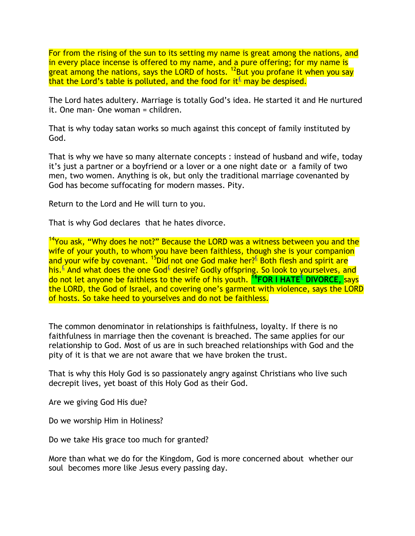For from the rising of the sun to its setting my name is great among the nations, and in every place incense is offered to my name, and a pure offering; for my name is great among the nations, says the LORD of hosts.  $^{12}$ But you profane it when you say that the Lord's table is polluted, and the food for it<sup> $\epsilon$ </sup> may be despised.

The Lord hates adultery. Marriage is totally God's idea. He started it and He nurtured it. One man- One woman = children.

That is why today satan works so much against this concept of family instituted by God.

That is why we have so many alternate concepts : instead of husband and wife, today it's just a partner or a boyfriend or a lover or a one night date or a family of two men, two women. Anything is ok, but only the traditional marriage covenanted by God has become suffocating for modern masses. Pity.

Return to the Lord and He will turn to you.

That is why God declares that he hates divorce.

<sup>14</sup>You ask, "Why does he not?" Because the LORD was a witness between you and the wife of your youth, to whom you have been faithless, though she is your companion and your wife by covenant. <sup>15</sup>Did not one God make her?<sup>⊆</sup> Both flesh and spirit are his.<sup>[£](qv://steplinkto1%200000037968/)</sup> And what does the one God<sup>£</sup> desire? Godly offspring. So look to yourselves, and do not let anyone be faithless to the wife of his youth. **<sup>16</sup>FOR I HATE[£](qv://steplinkto1%200000037969/) DIVORCE,** says the LORD, the God of Israel, and covering one's garment with violence, says the LORD of hosts. So take heed to yourselves and do not be faithless.

The common denominator in relationships is faithfulness, loyalty. If there is no faithfulness in marriage then the covenant is breached. The same applies for our relationship to God. Most of us are in such breached relationships with God and the pity of it is that we are not aware that we have broken the trust.

That is why this Holy God is so passionately angry against Christians who live such decrepit lives, yet boast of this Holy God as their God.

Are we giving God His due?

Do we worship Him in Holiness?

Do we take His grace too much for granted?

More than what we do for the Kingdom, God is more concerned about whether our soul becomes more like Jesus every passing day.